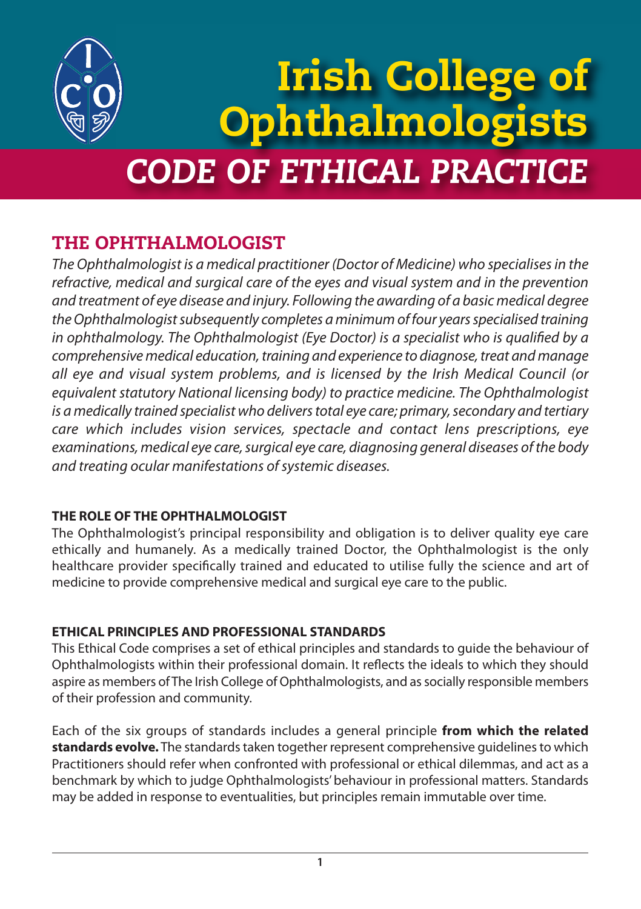# **Irish College of Ophthalmologists** *CODE OF ETHICAL PRACTICE*

# **THE OPHTHALMOLOGIST**

The Ophthalmologist is a medical practitioner (Doctor of Medicine) who specialisesin the refractive, medical and surgical care of the eyes and visual system and in the prevention and treatment of eye disease and injury. Following the awarding of a basic medical degree the Ophthalmologist subsequently completes a minimum of four years specialised training in ophthalmology. The Ophthalmologist (Eye Doctor) is a specialist who is qualified by a comprehensive medical education, training and experience to diagnose, treat and manage all eye and visual system problems, and is licensed by the Irish Medical Council (or equivalent statutory National licensing body) to practice medicine. The Ophthalmologist is a medically trained specialist who delivers total eye care; primary, secondary and tertiary care which includes vision services, spectacle and contact lens prescriptions, eye examinations, medical eye care, surgical eye care, diagnosing general diseases of the body and treating ocular manifestations of systemic diseases.

# **THE ROLE OF THE OPHTHALMOLOGIST**

The Ophthalmologist's principal responsibility and obligation is to deliver quality eye care ethically and humanely. As a medically trained Doctor, the Ophthalmologist is the only healthcare provider specifically trained and educated to utilise fully the science and art of medicine to provide comprehensive medical and surgical eye care to the public.

# **ETHICAL PRINCIPLES AND PROFESSIONAL STANDARDS**

This Ethical Code comprises a set of ethical principles and standards to guide the behaviour of Ophthalmologists within their professional domain. It reflects the ideals to which they should aspire as members of The Irish College of Ophthalmologists, and as socially responsible members of their profession and community.

Each of the six groups of standards includes a general principle **from which the related standards evolve.** The standards taken together represent comprehensive guidelines to which Practitioners should refer when confronted with professional or ethical dilemmas, and act as a benchmark by which to judge Ophthalmologists'behaviour in professional matters. Standards may be added in response to eventualities, but principles remain immutable over time.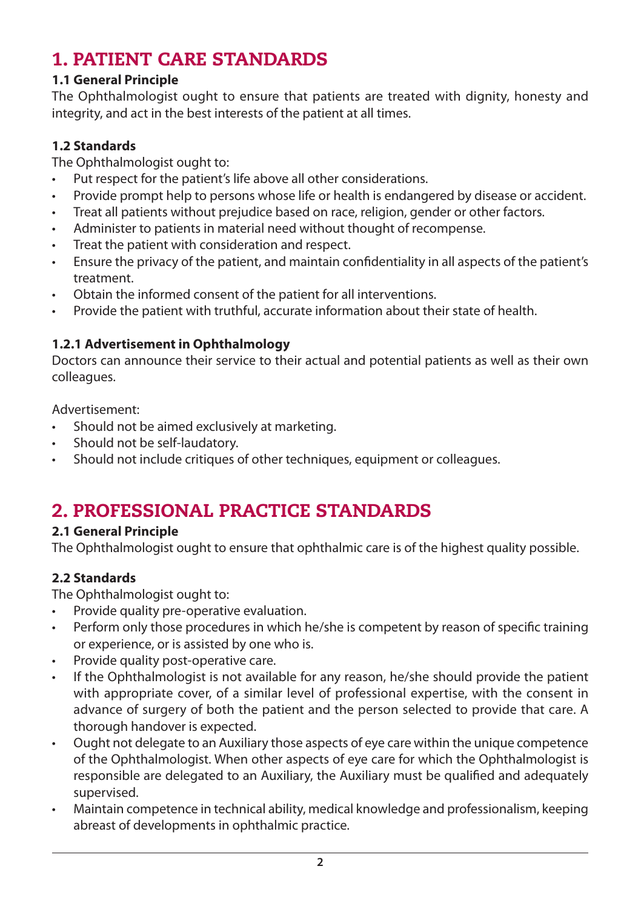# **1. PATIENT CARE STANDARDS**

# **1.1 General Principle**

The Ophthalmologist ought to ensure that patients are treated with dignity, honesty and integrity, and act in the best interests of the patient at all times.

## **1.2 Standards**

The Ophthalmologist ought to:

- Put respect for the patient's life above all other considerations.
- Provide prompt help to persons whose life or health is endangered by disease or accident.
- Treat all patients without prejudice based on race, religion, gender or other factors.
- Administer to patients in material need without thought of recompense.
- Treat the patient with consideration and respect.
- Ensure the privacy of the patient, and maintain confidentiality in all aspects of the patient's treatment.
- Obtain the informed consent of the patient for all interventions.
- Provide the patient with truthful, accurate information about their state of health.

# **1.2.1 Advertisement in Ophthalmology**

Doctors can announce their service to their actual and potential patients as well as their own colleagues.

Advertisement:

- Should not be aimed exclusively at marketing.
- Should not be self-laudatory.
- Should not include critiques of other techniques, equipment or colleagues.

# **2. PROFESSIONAL PRACTICE STANDARDS**

## **2.1 General Principle**

The Ophthalmologist ought to ensure that ophthalmic care is of the highest quality possible.

# **2.2 Standards**

The Ophthalmologist ought to:

- Provide quality pre-operative evaluation.
- Perform only those procedures in which he/she is competent by reason of specific training or experience, or is assisted by one who is.
- Provide quality post-operative care.
- If the Ophthalmologist is not available for any reason, he/she should provide the patient with appropriate cover, of a similar level of professional expertise, with the consent in advance of surgery of both the patient and the person selected to provide that care. A thorough handover is expected.
- Ought not delegate to an Auxiliary those aspects of eye care within the unique competence of the Ophthalmologist. When other aspects of eye care for which the Ophthalmologist is responsible are delegated to an Auxiliary, the Auxiliary must be qualified and adequately supervised.
- Maintain competence in technical ability, medical knowledge and professionalism, keeping abreast of developments in ophthalmic practice.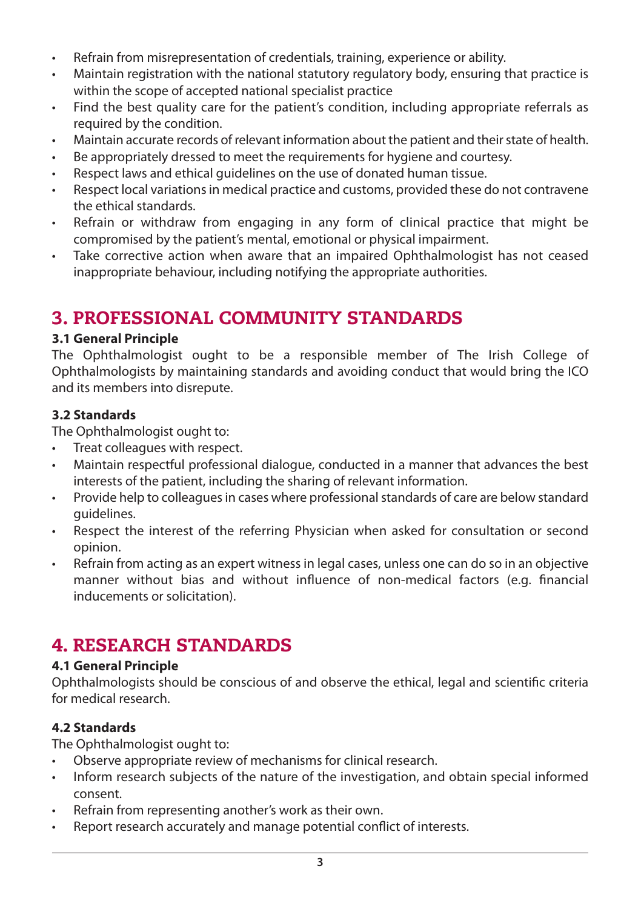- Refrain from misrepresentation of credentials, training, experience or ability.
- Maintain registration with the national statutory regulatory body, ensuring that practice is within the scope of accepted national specialist practice
- Find the best quality care for the patient's condition, including appropriate referrals as required by the condition.
- Maintain accurate records of relevant information about the patient and their state of health.
- Be appropriately dressed to meet the requirements for hygiene and courtesy.
- Respect laws and ethical guidelines on the use of donated human tissue.
- Respect local variations in medical practice and customs, provided these do not contravene the ethical standards.
- Refrain or withdraw from engaging in any form of clinical practice that might be compromised by the patient's mental, emotional or physical impairment.
- Take corrective action when aware that an impaired Ophthalmologist has not ceased inappropriate behaviour, including notifying the appropriate authorities.

# **3. PROFESSIONAL COMMUNITY STANDARDS**

# **3.1 General Principle**

The Ophthalmologist ought to be a responsible member of The Irish College of Ophthalmologists by maintaining standards and avoiding conduct that would bring the ICO and its members into disrepute.

## **3.2 Standards**

The Ophthalmologist ought to:

- Treat colleagues with respect.
- Maintain respectful professional dialogue, conducted in a manner that advances the best interests of the patient, including the sharing of relevant information.
- Provide help to colleagues in cases where professional standards of care are below standard guidelines.
- Respect the interest of the referring Physician when asked for consultation or second opinion.
- Refrain from acting as an expert witness in legal cases, unless one can do so in an objective manner without bias and without influence of non-medical factors (e.g. financial inducements or solicitation).

# **4. RESEARCH STANDARDS**

## **4.1 General Principle**

Ophthalmologists should be conscious of and observe the ethical, legal and scientific criteria for medical research.

# **4.2 Standards**

The Ophthalmologist ought to:

- Observe appropriate review of mechanisms for clinical research.
- Inform research subjects of the nature of the investigation, and obtain special informed consent.
- Refrain from representing another's work as their own.
- Report research accurately and manage potential conflict of interests.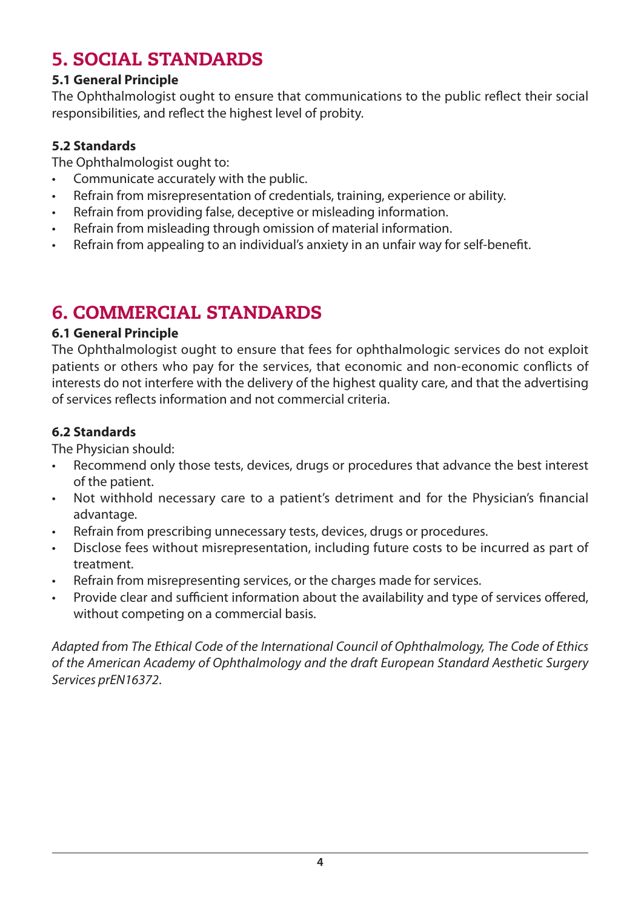# **5. SOCIAL STANDARDS**

# **5.1 General Principle**

The Ophthalmologist ought to ensure that communications to the public reflect their social responsibilities, and reflect the highest level of probity.

# **5.2 Standards**

The Ophthalmologist ought to:

- Communicate accurately with the public.
- Refrain from misrepresentation of credentials, training, experience or ability.
- Refrain from providing false, deceptive or misleading information.
- Refrain from misleading through omission of material information.
- Refrain from appealing to an individual's anxiety in an unfair way for self-benefit.

# **6. COMMERCIAL STANDARDS**

# **6.1 General Principle**

The Ophthalmologist ought to ensure that fees for ophthalmologic services do not exploit patients or others who pay for the services, that economic and non-economic conflicts of interests do not interfere with the delivery of the highest quality care, and that the advertising of services reflects information and not commercial criteria.

# **6.2 Standards**

The Physician should:

- Recommend only those tests, devices, drugs or procedures that advance the best interest of the patient.
- Not withhold necessary care to a patient's detriment and for the Physician's financial advantage.
- Refrain from prescribing unnecessary tests, devices, drugs or procedures.
- Disclose fees without misrepresentation, including future costs to be incurred as part of treatment.
- Refrain from misrepresenting services, or the charges made for services.
- Provide clear and sufficient information about the availability and type of services offered, without competing on a commercial basis.

Adapted from The Ethical Code of the International Council of Ophthalmology, The Code of Ethics of the American Academy of Ophthalmology and the draft European Standard Aesthetic Surgery Services prEN16372.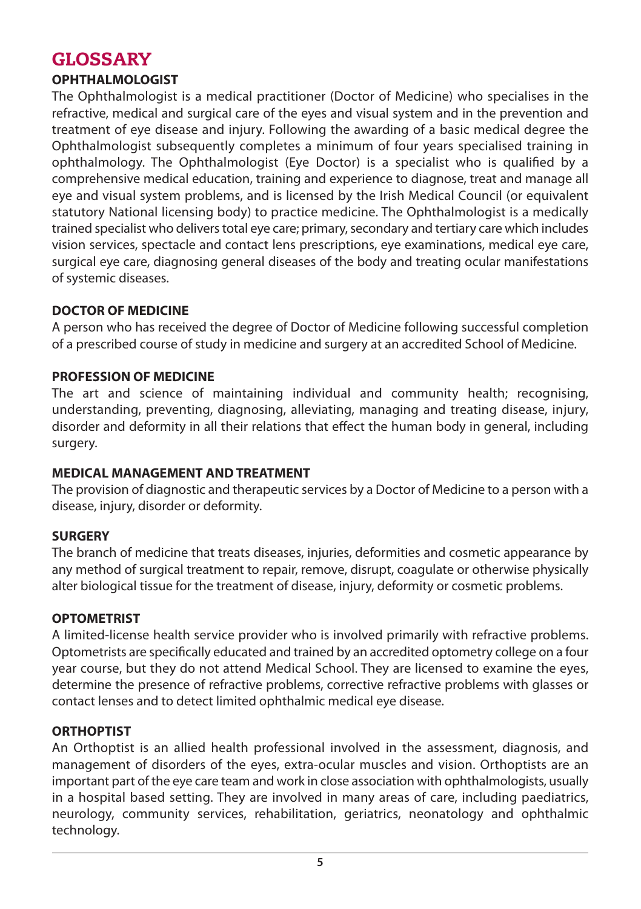# **GLOSSARY**

## **OPHTHALMOLOGIST**

The Ophthalmologist is a medical practitioner (Doctor of Medicine) who specialises in the refractive, medical and surgical care of the eyes and visual system and in the prevention and treatment of eye disease and injury. Following the awarding of a basic medical degree the Ophthalmologist subsequently completes a minimum of four years specialised training in ophthalmology. The Ophthalmologist (Eye Doctor) is a specialist who is qualified by a comprehensive medical education, training and experience to diagnose, treat and manage all eye and visual system problems, and is licensed by the Irish Medical Council (or equivalent statutory National licensing body) to practice medicine. The Ophthalmologist is a medically trained specialist who delivers total eye care; primary, secondary and tertiary care which includes vision services, spectacle and contact lens prescriptions, eye examinations, medical eye care, surgical eye care, diagnosing general diseases of the body and treating ocular manifestations of systemic diseases.

## **DOCTOR OF MEDICINE**

A person who has received the degree of Doctor of Medicine following successful completion of a prescribed course of study in medicine and surgery at an accredited School of Medicine.

## **PROFESSION OF MEDICINE**

The art and science of maintaining individual and community health; recognising, understanding, preventing, diagnosing, alleviating, managing and treating disease, injury, disorder and deformity in all their relations that effect the human body in general, including surgery.

## **MEDICAL MANAGEMENT ANDTREATMENT**

The provision of diagnostic and therapeutic services by a Doctor of Medicine to a person with a disease, injury, disorder or deformity.

#### **SURGERY**

The branch of medicine that treats diseases, injuries, deformities and cosmetic appearance by any method of surgical treatment to repair, remove, disrupt, coagulate or otherwise physically alter biological tissue for the treatment of disease, injury, deformity or cosmetic problems.

#### **OPTOMETRIST**

A limited-license health service provider who is involved primarily with refractive problems. Optometrists are specifically educated and trained by an accredited optometry college on a four year course, but they do not attend Medical School. They are licensed to examine the eyes, determine the presence of refractive problems, corrective refractive problems with glasses or contact lenses and to detect limited ophthalmic medical eye disease.

## **ORTHOPTIST**

An Orthoptist is an allied health professional involved in the assessment, diagnosis, and management of disorders of the eyes, extra-ocular muscles and vision. Orthoptists are an important part of the eye care team and work in close association with ophthalmologists, usually in a hospital based setting. They are involved in many areas of care, including paediatrics, neurology, community services, rehabilitation, geriatrics, neonatology and ophthalmic technology.